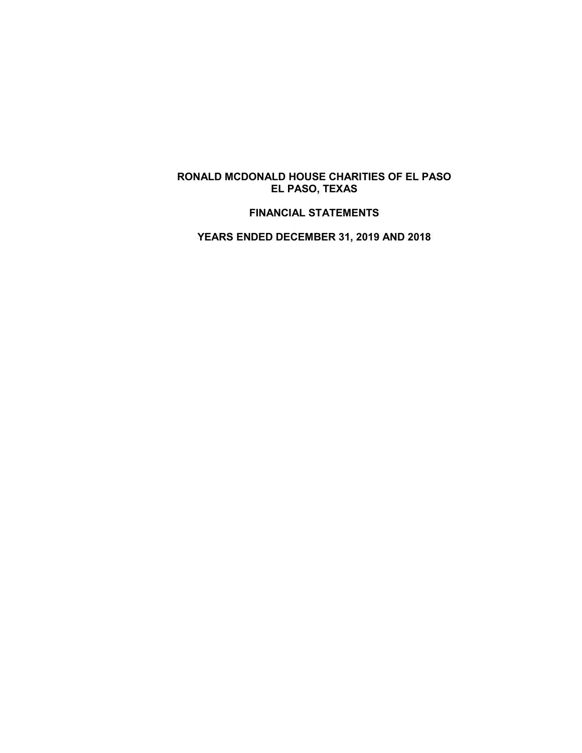# **RONALD MCDONALD HOUSE CHARITIES OF EL PASO EL PASO, TEXAS**

# **FINANCIAL STATEMENTS**

**YEARS ENDED DECEMBER 31, 2019 AND 2018**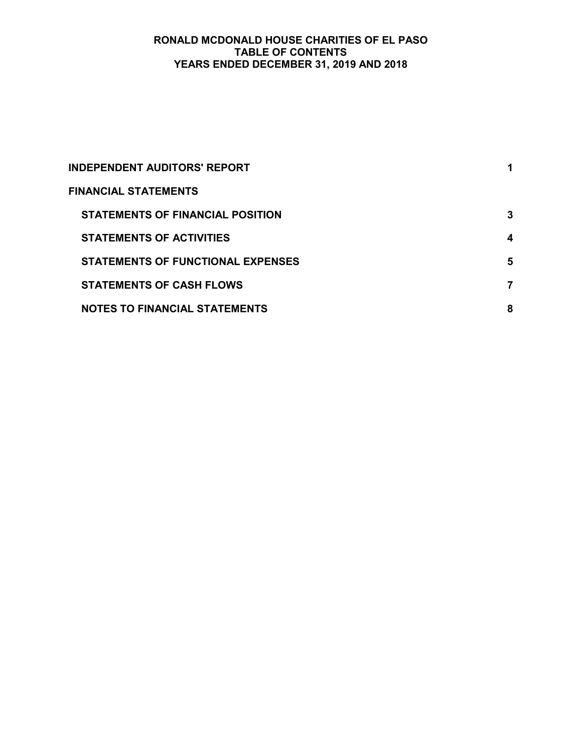# **RONALD MCDONALD HOUSE CHARITIES OF EL PASO TABLE OF CONTENTS YEARS ENDED DECEMBER 31, 2019 AND 2018**

| <b>INDEPENDENT AUDITORS' REPORT</b>      |   |
|------------------------------------------|---|
| <b>FINANCIAL STATEMENTS</b>              |   |
| STATEMENTS OF FINANCIAL POSITION         | 3 |
| <b>STATEMENTS OF ACTIVITIES</b>          | 4 |
| <b>STATEMENTS OF FUNCTIONAL EXPENSES</b> | 5 |
| <b>STATEMENTS OF CASH FLOWS</b>          |   |
| <b>NOTES TO FINANCIAL STATEMENTS</b>     | 8 |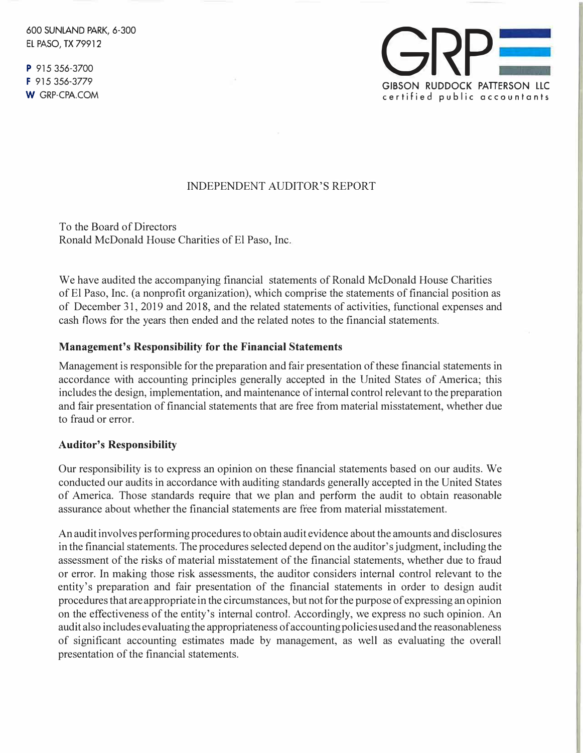600 SUNLAND PARK, 6-300 EL PASO, TX 79912

P 915 356-3700 F 915 356-3779 W GRP-CPA.COM



# INDEPENDENT AUDITOR'S REPORT

To the Board of Directors Ronald McDonald House Charities of El Paso, Inc.

We have audited the accompanying financial statements of Ronald McDonald House Charities of El Paso, Inc. (a nonprofit organization), which comprise the statements of financial position as of December 31, 2019 and 2018, and the related statements of activities, functional expenses and cash flows for the years then ended and the related notes to the financial statements.

### **Management's Responsibility for the Financial Statements**

Management is responsible for the preparation and fair presentation of these financial statements in accordance with accounting principles generally accepted in the United States of America; this includes the design, implementation, and maintenance of internal control relevant to the preparation and fair presentation of financial statements that are free from material misstatement, whether due to fraud or error.

#### **Auditor's Responsibility**

Our responsibility is to express an opinion on these financial statements based on our audits. We conducted our audits in accordance with auditing standards generally accepted in the United States of America. Those standards require that we plan and perform the audit to obtain reasonable assurance about whether the financial statements are free from material misstatement.

An audit involves performing procedures to obtain audit evidence about the amounts and disclosures in the financial statements. The procedures selected depend on the auditor's judgment, including the assessment of the risks of material misstatement of the financial statements, whether due to fraud or error. In making those risk assessments, the auditor considers internal control relevant to the entity's preparation and fair presentation of the financial statements in order to design audit procedures that are appropriate in the circumstances, but not for the purpose of expressing an opinion on the effectiveness of the entity's internal control. Accordingly, we express no such opinion. An audit also includes evaluating the appropriateness of accounting policies used and the reasonableness of significant accounting estimates made by management, as well as evaluating the overall presentation of the financial statements.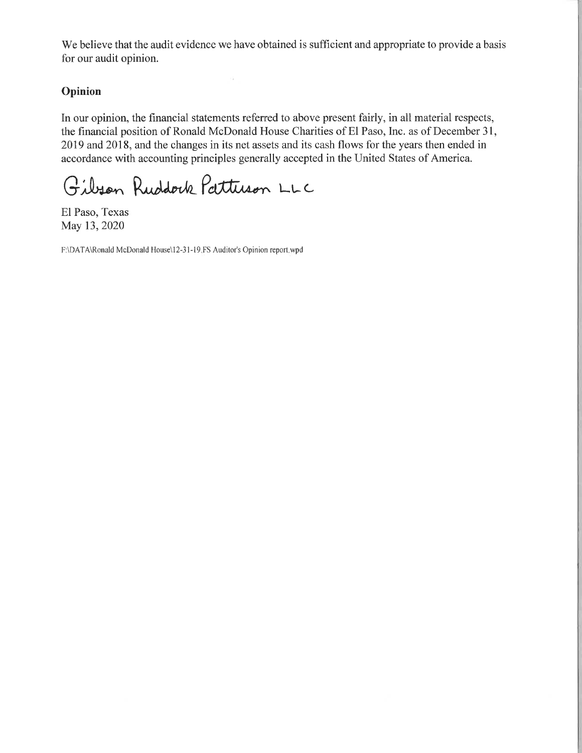We believe that the audit evidence we have obtained is sufficient and appropriate to provide a basis for our audit opinion.

 $\alpha$ 

# Opinion

In our opinion, the financial statements referred to above present fairly, in all material respects, the financial position of Ronald McDonald House Charities of El Paso, Inc. as of December 31, 2019 and 2018, and the changes in its net assets and its cash flows for the years then ended in accordance with accounting principles generally accepted in the United States of America.

Gibson Ruddock Pattuson LLC

El Paso, Texas May 13, 2020

F:\DATA\Ronald McDonald House\12-31-19 FS Auditor's Opinion report.wpd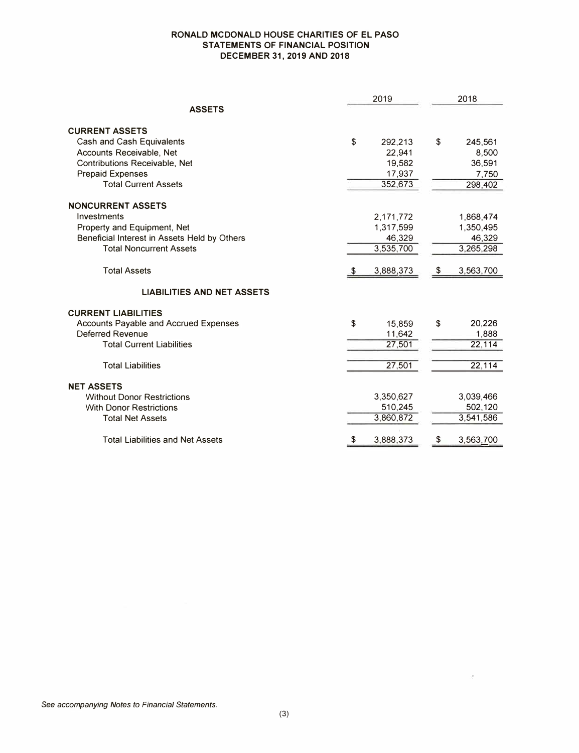#### **RONALD MCDONALD HOUSE CHARITIES OF EL PASO STATEMENTS OF FINANCIAL POSITION DECEMBER 31, 2019 AND 2018**

|                                              | 2019          | 2018 |           |  |
|----------------------------------------------|---------------|------|-----------|--|
| <b>ASSETS</b>                                |               |      |           |  |
| <b>CURRENT ASSETS</b>                        |               |      |           |  |
| Cash and Cash Equivalents                    | \$<br>292,213 | \$   | 245,561   |  |
| Accounts Receivable, Net                     | 22,941        |      | 8,500     |  |
| Contributions Receivable, Net                | 19,582        |      | 36,591    |  |
| <b>Prepaid Expenses</b>                      | 17,937        |      | 7,750     |  |
| <b>Total Current Assets</b>                  | 352,673       |      | 298,402   |  |
| <b>NONCURRENT ASSETS</b>                     |               |      |           |  |
| Investments                                  | 2,171,772     |      | 1,868,474 |  |
| Property and Equipment, Net                  | 1,317,599     |      | 1,350,495 |  |
| Beneficial Interest in Assets Held by Others | 46,329        |      | 46,329    |  |
| <b>Total Noncurrent Assets</b>               | 3,535,700     |      | 3,265,298 |  |
|                                              |               |      |           |  |
| <b>Total Assets</b>                          | 3,888,373     | S.   | 3,563,700 |  |
| <b>LIABILITIES AND NET ASSETS</b>            |               |      |           |  |
| <b>CURRENT LIABILITIES</b>                   |               |      |           |  |
| <b>Accounts Payable and Accrued Expenses</b> | \$<br>15.859  | \$   | 20,226    |  |
| Deferred Revenue                             | 11,642        |      | 1,888     |  |
| <b>Total Current Liabilities</b>             | 27,501        |      | 22,114    |  |
|                                              |               |      |           |  |
| <b>Total Liabilities</b>                     | 27,501        |      | 22,114    |  |
| <b>NET ASSETS</b>                            |               |      |           |  |
| <b>Without Donor Restrictions</b>            | 3,350,627     |      | 3,039,466 |  |
| <b>With Donor Restrictions</b>               | 510,245       |      | 502,120   |  |
| <b>Total Net Assets</b>                      | 3,860,872     |      | 3,541,586 |  |
|                                              |               |      |           |  |
| <b>Total Liabilities and Net Assets</b>      | 3,888,373     |      | 3,563,700 |  |

ö,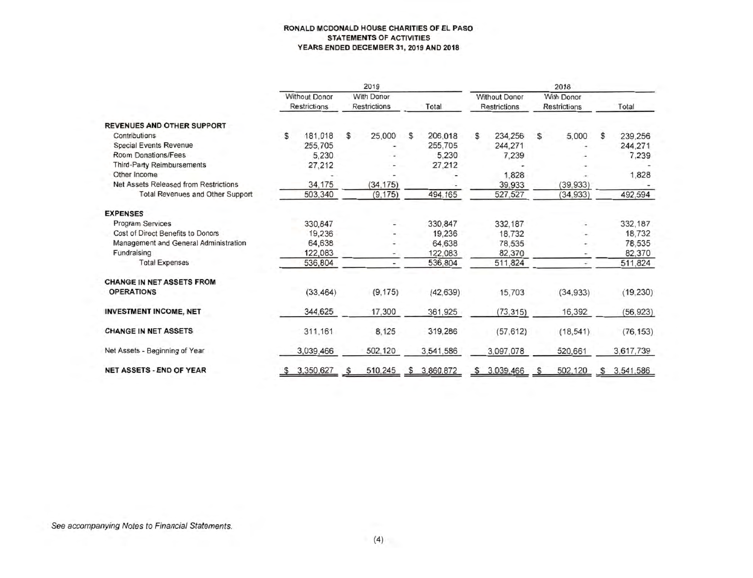#### **RONALD MCDONALD HOUSE CHARITIES OF EL PASO STATEMENTS OF ACTIVITIES YEARS ENDED DECEMBER 31, 2019 AND 2018**

|                                         |   |                                             |    | 2019                              |   |             | 2018 |                                             |    |                                   |    |           |
|-----------------------------------------|---|---------------------------------------------|----|-----------------------------------|---|-------------|------|---------------------------------------------|----|-----------------------------------|----|-----------|
| <b>REVENUES AND OTHER SUPPORT</b>       |   | <b>Without Donor</b><br><b>Restrictions</b> |    | With Donor<br><b>Restrictions</b> |   | Total       |      | <b>Without Donor</b><br><b>Restrictions</b> |    | With Donor<br><b>Restrictions</b> |    | Total     |
|                                         |   |                                             |    |                                   |   |             |      |                                             |    |                                   |    |           |
| Contributions                           | s | 181,018                                     | \$ | 25,000                            | s | 206,018     | s.   | 234,256                                     | S. | 5,000                             | \$ | 239,256   |
| <b>Special Events Revenue</b>           |   | 255,705                                     |    |                                   |   | 255.705     |      | 244,271                                     |    |                                   |    | 244.271   |
| Room Donations/Fees                     |   | 5.230                                       |    |                                   |   | 5.230       |      | 7.239                                       |    |                                   |    | 7,239     |
| <b>Third-Party Reimbursements</b>       |   | 27,212                                      |    |                                   |   | 27,212      |      |                                             |    |                                   |    |           |
| Other Income                            |   |                                             |    |                                   |   |             |      | 1,828                                       |    |                                   |    | 1,828     |
| Net Assets Released from Restrictions   |   | 34,175                                      |    | (34, 175)                         |   |             |      | 39.933                                      |    | (39, 933)                         |    |           |
| <b>Total Revenues and Other Support</b> |   | 503,340                                     |    | (9, 175)                          |   | 494,165     |      | 527,527                                     |    | (34, 933)                         |    | 492,594   |
| <b>EXPENSES</b>                         |   |                                             |    |                                   |   |             |      |                                             |    |                                   |    |           |
| <b>Program Services</b>                 |   | 330,847                                     |    |                                   |   | 330,847     |      | 332,187                                     |    |                                   |    | 332,187   |
| Cost of Direct Benefits to Donors       |   | 19,236                                      |    |                                   |   | 19.236      |      | 18.732                                      |    |                                   |    | 18.732    |
| Management and General Administration   |   | 64,638                                      |    |                                   |   | 64,638      |      | 78,535                                      |    |                                   |    | 78.535    |
| Fundraising                             |   | 122,083                                     |    | ۰                                 |   | 122,083     |      | 82,370                                      |    |                                   |    | 82,370    |
| <b>Total Expenses</b>                   |   | 536.804                                     |    |                                   |   | 536,804     |      | 511,824                                     |    |                                   |    | 511,824   |
| <b>CHANGE IN NET ASSETS FROM</b>        |   |                                             |    |                                   |   |             |      |                                             |    |                                   |    |           |
| <b>OPERATIONS</b>                       |   | (33.464)                                    |    | (9, 175)                          |   | (42, 639)   |      | 15,703                                      |    | (34.933)                          |    | (19, 230) |
| <b>INVESTMENT INCOME, NET</b>           |   | 344,625                                     |    | 17,300                            |   | 361,925     |      | (73, 315)                                   |    | 16,392                            |    | (56, 923) |
| <b>CHANGE IN NET ASSETS</b>             |   | 311,161                                     |    | 8,125                             |   | 319,286     |      | (57.612)                                    |    | (18, 541)                         |    | (76.153)  |
| Net Assets - Beginning of Year          |   | 3,039,466                                   |    | 502,120                           |   | 3,541,586   |      | 3,097,078                                   |    | 520,661                           |    | 3,617,739 |
| <b>NET ASSETS - END OF YEAR</b>         |   | \$3,350,627                                 |    | 510,245                           |   | \$3,860,872 | s    | 3,039,466                                   | S  | 502,120                           | S. | 3,541,586 |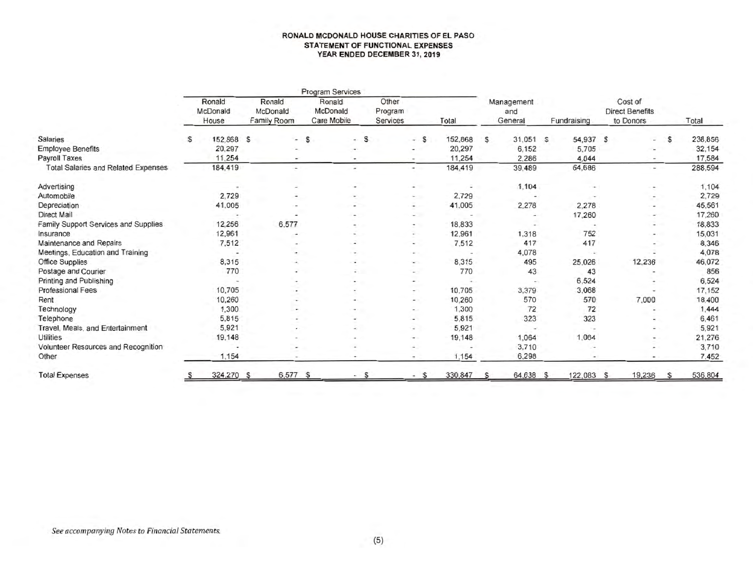#### **RONALD MCDONALD HOUSE CHARITIES OF EL PASO STATEMENT OF FUNCTIONAL EXPENSES YEAR ENDED DECEMBER 31, 2019**

|                                            |                             |                                          |                               | <b>Program Services</b>           |                              |                          |          |                              |             |                                                |   |         |
|--------------------------------------------|-----------------------------|------------------------------------------|-------------------------------|-----------------------------------|------------------------------|--------------------------|----------|------------------------------|-------------|------------------------------------------------|---|---------|
|                                            | Ronald<br>McDonald<br>House | Ronald<br>McDonald<br><b>Family Room</b> |                               | Ronald<br>McDonald<br>Care Mobile | Other<br>Program<br>Services | Total                    |          | Management<br>and<br>General | Fundraising | Cost of<br><b>Direct Benefits</b><br>to Donors |   | Total   |
| <b>Salaries</b>                            | s                           | 152,868 \$                               | s<br>$\overline{\phantom{a}}$ | S<br>÷.                           | $-5$                         | 152,868                  | S        | 31,051 S                     | 54,937 S    | $\overline{\phantom{a}}$                       | s | 238,856 |
| <b>Employee Benefits</b>                   |                             | 20,297                                   |                               |                                   |                              | 20,297                   |          | 6,152                        | 5,705       | $\overline{\phantom{a}}$                       |   | 32,154  |
| Payroll Taxes                              |                             | 11,254                                   |                               |                                   |                              | 11,254                   |          | 2,286                        | 4.044       |                                                |   | 17,584  |
| <b>Total Salaries and Related Expenses</b> |                             | 184,419                                  | ٠                             | $\overline{\phantom{a}}$          | ۰                            | 184,419                  |          | 39,489                       | 64,686      | $\sim$                                         |   | 288,594 |
| Advertising                                |                             |                                          |                               |                                   | ۰                            | $\overline{\phantom{a}}$ |          | 1,104                        |             |                                                |   | 1,104   |
| Automobile                                 |                             | 2,729                                    |                               |                                   |                              | 2,729                    |          |                              |             | $\overline{\phantom{a}}$                       |   | 2,729   |
| Depreciation                               |                             | 41,005                                   |                               |                                   | ۰                            | 41,005                   |          | 2,278                        | 2,278       |                                                |   | 45,561  |
| <b>Direct Mail</b>                         |                             |                                          |                               |                                   | ۰                            | $\overline{\phantom{a}}$ |          |                              | 17,260      |                                                |   | 17,260  |
| Family Support Services and Supplies       |                             | 12,256<br>6,577                          |                               |                                   | $\ddot{\phantom{1}}$         | 18.833                   |          |                              |             | $\overline{\phantom{a}}$                       |   | 18,833  |
| Insurance                                  |                             | 12,961                                   |                               |                                   |                              | 12,961                   |          | 1,318                        | 752         | $\overline{\phantom{a}}$                       |   | 15,031  |
| Maintenance and Repairs                    |                             | 7,512                                    |                               |                                   | $\overline{\phantom{a}}$     | 7,512                    |          | 417                          | 417         |                                                |   | 8,346   |
| Meetings, Education and Training           |                             |                                          |                               |                                   | $\overline{\phantom{a}}$     |                          |          | 4,078                        |             |                                                |   | 4,078   |
| Office Supplies                            |                             | 8,315                                    |                               |                                   | ۰.                           | 8,315                    |          | 495                          | 25,026      | 12,236                                         |   | 46,072  |
| Postage and Courier                        |                             | 770                                      |                               |                                   | $\overline{a}$               | 770                      |          | 43                           | 43          |                                                |   | 856     |
| Printing and Publishing                    |                             |                                          |                               |                                   | $\overline{\phantom{a}}$     |                          |          |                              | 6.524       |                                                |   | 6.524   |
| <b>Professional Fees</b>                   |                             | 10,705                                   |                               |                                   |                              | 10,705                   |          | 3,379                        | 3,068       |                                                |   | 17,152  |
| Rent                                       |                             | 10,260                                   |                               |                                   | $\overline{\phantom{a}}$     | 10,260                   |          | 570                          | 570         | 7,000                                          |   | 18,400  |
| Technology                                 |                             | 1,300                                    |                               |                                   |                              | 1,300                    |          | 72                           | 72          |                                                |   | 1,444   |
| Telephone                                  |                             | 5,815                                    |                               |                                   | $\overline{\phantom{a}}$     | 5,815                    |          | 323                          | 323         |                                                |   | 6,461   |
| Travel, Meals, and Entertainment           |                             | 5,921                                    |                               | ۰                                 |                              | 5,921                    |          |                              |             | $\overline{\phantom{0}}$                       |   | 5,921   |
| <b>Utilities</b>                           |                             | 19,148                                   |                               |                                   | $\sim$                       | 19,148                   |          | 1.064                        | 1,064       |                                                |   | 21,276  |
| Volunteer Resources and Recognition        |                             |                                          |                               |                                   |                              |                          |          | 3,710                        |             |                                                |   | 3,710   |
| Other                                      |                             | 1,154                                    |                               | ٠                                 |                              | 1,154                    |          | 6,298                        |             |                                                |   | 7,452   |
| <b>Total Expenses</b>                      |                             | 324,270 \$                               | 6,577 \$                      | <sub>S</sub>                      | S                            | 330,847                  | <b>S</b> | 64,638 \$                    | 122,083 S   | 19.236                                         | s | 536,804 |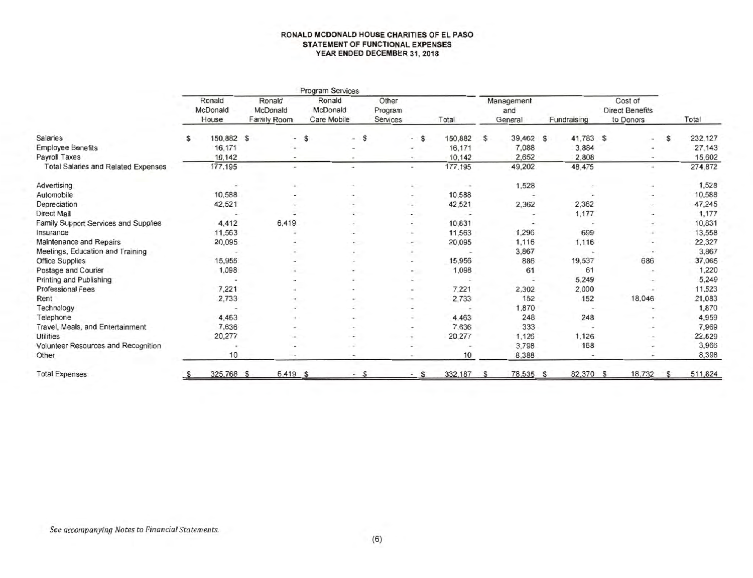#### **RONALD MCDONALD HOUSE CHARITIES OF EL PASO STATEMENT OF FUNCTIONAL EXPENSES YEAR ENDED DECEMBER 31, 2018**

|                                            |   | Program Services            |                                   |                                   |                          |                              |                |                |            |                          |                                                |   |         |
|--------------------------------------------|---|-----------------------------|-----------------------------------|-----------------------------------|--------------------------|------------------------------|----------------|----------------|------------|--------------------------|------------------------------------------------|---|---------|
|                                            |   | Ronald<br>McDonald<br>House | Ronald<br>McDonald<br>Family Room | Ronald<br>McDonald<br>Care Mobile |                          | Other<br>Program<br>Services | Total          | and<br>General | Management | Fundraising              | Cost of<br><b>Direct Benefits</b><br>to Donors |   | Total   |
| <b>Salaries</b>                            | s | 150,882 \$                  | $\overline{\phantom{a}}$          | $\mathsf{s}$                      | $-5$                     | $-$ S                        | 150,882        | <b>S</b>       | 39,462 S   | 41,783 S                 | ۰                                              | s | 232,127 |
| <b>Employee Benefits</b>                   |   | 16,171                      |                                   |                                   |                          | $\overline{\phantom{a}}$     | 16,171         |                | 7,088      | 3.884                    | $\overline{\phantom{0}}$                       |   | 27,143  |
| <b>Payroll Taxes</b>                       |   | 10,142                      |                                   |                                   |                          | $\sim$                       | 10,142         |                | 2.652      | 2,808                    | $\overline{\phantom{a}}$                       |   | 15,602  |
| <b>Total Salaries and Related Expenses</b> |   | 177,195                     | ٠                                 |                                   |                          | $\sim$                       | 177,195        |                | 49,202     | 48,475                   | ۰                                              |   | 274,872 |
| <b>Advertising</b>                         |   | $\sim$                      | ۰                                 |                                   |                          |                              |                |                | 1.528      |                          |                                                |   | 1,528   |
| Automobile                                 |   | 10,588                      |                                   |                                   |                          | $\sim$                       | 10,588         |                |            |                          |                                                |   | 10,588  |
| Depreciation                               |   | 42,521                      |                                   |                                   |                          | $\overline{\phantom{a}}$     | 42,521         |                | 2,362      | 2,362                    | $\overline{\phantom{a}}$                       |   | 47,245  |
| Direct Mail                                |   |                             |                                   |                                   |                          | $\overline{a}$               | $\overline{a}$ |                |            | 1,177                    | $\overline{\phantom{a}}$                       |   | 1,177   |
| Family Support Services and Supplies       |   | 4,412                       | 6,419                             |                                   |                          | $\overline{\phantom{a}}$     | 10,831         |                | $\sim$     |                          | $\overline{\phantom{a}}$                       |   | 10,831  |
| Insurance                                  |   | 11,563                      |                                   |                                   |                          | $\overline{\phantom{a}}$     | 11,563         |                | 1,296      | 699                      | $\overline{\phantom{a}}$                       |   | 13,558  |
| Maintenance and Repairs                    |   | 20,095                      |                                   |                                   |                          | $\overline{\phantom{a}}$     | 20,095         |                | 1,116      | 1,116                    |                                                |   | 22,327  |
| Meetings, Education and Training           |   |                             |                                   |                                   | $\overline{\phantom{a}}$ | $\overline{\phantom{a}}$     |                |                | 3,867      |                          | $\blacksquare$                                 |   | 3,867   |
| <b>Office Supplies</b>                     |   | 15,956                      |                                   |                                   |                          | $\overline{\phantom{a}}$     | 15,956         |                | 886        | 19,537                   | 686                                            |   | 37,065  |
| Postage and Courier                        |   | 1,098                       | ٠                                 |                                   |                          | $\sim$ 1.                    | 1,098          |                | 61         | 61                       | $\overline{\phantom{a}}$                       |   | 1,220   |
| Printing and Publishing                    |   |                             |                                   |                                   |                          |                              |                |                |            | 5.249                    | ۰                                              |   | 5.249   |
| <b>Professional Fees</b>                   |   | 7,221                       |                                   |                                   |                          | $\sim$                       | 7.221          |                | 2,302      | 2,000                    |                                                |   | 11,523  |
| Rent                                       |   | 2,733                       | -                                 |                                   |                          | $\sim$                       | 2,733          |                | 152        | 152                      | 18,046                                         |   | 21.083  |
| Technology                                 |   |                             |                                   |                                   |                          |                              |                |                | 1,870      | $\overline{\phantom{m}}$ |                                                |   | 1,870   |
| Telephone                                  |   | 4.463                       |                                   |                                   |                          |                              | 4.463          |                | 248        | 248                      |                                                |   | 4,959   |
| Travel, Meals, and Entertainment           |   | 7.636                       |                                   |                                   |                          | ۰                            | 7,636          |                | 333        |                          | $\overline{\phantom{a}}$                       |   | 7.969   |
| <b>Utilities</b>                           |   | 20,277                      |                                   |                                   |                          | $\overline{\phantom{a}}$     | 20,277         |                | 1,126      | 1,126                    | $\overline{\phantom{0}}$                       |   | 22,529  |
| Volunteer Resources and Recognition        |   |                             |                                   |                                   |                          |                              |                |                | 3,798      | 168                      | $\overline{\phantom{a}}$                       |   | 3,966   |
| Other                                      |   | 10                          |                                   |                                   |                          |                              | 10             |                | 8,388      |                          |                                                |   | 8,398   |
| <b>Total Expenses</b>                      |   | 325,768 \$                  | 6,419 \$                          |                                   |                          |                              | 332,187        |                | 78,535 S   | 82,370 \$                | 18.732                                         | S | 511,824 |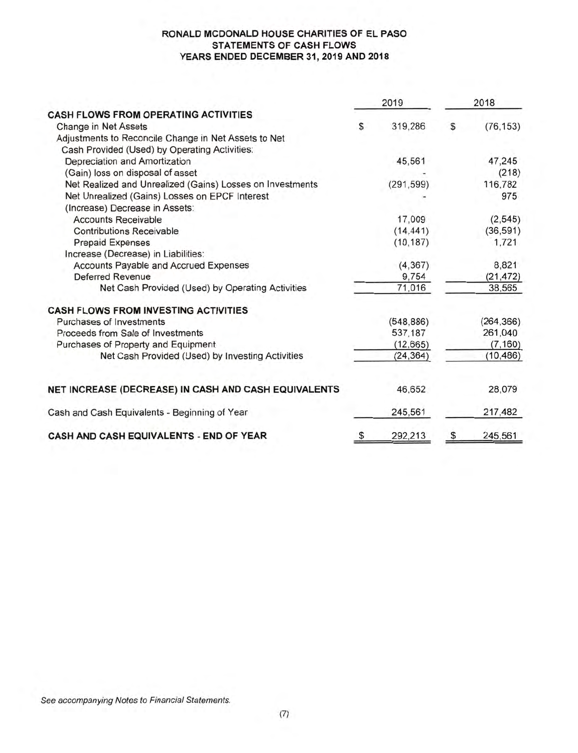#### **RONALD MCDONALD HOUSE CHARITIES OF EL PASO STATEMENTS OF CASH FLOWS YEARS ENDED DECEMBER 31, 2019 AND 2018**

|                                                           | 2019          | 2018 |            |  |
|-----------------------------------------------------------|---------------|------|------------|--|
| <b>CASH FLOWS FROM OPERATING ACTIVITIES</b>               |               |      |            |  |
| Change in Net Assets                                      | \$<br>319,286 | \$   | (76, 153)  |  |
| Adjustments to Reconcile Change in Net Assets to Net      |               |      |            |  |
| Cash Provided (Used) by Operating Activities:             |               |      |            |  |
| Depreciation and Amortization                             | 45,561        |      | 47,245     |  |
| (Gain) loss on disposal of asset                          |               |      | (218)      |  |
| Net Realized and Unrealized (Gains) Losses on Investments | (291, 599)    |      | 116,782    |  |
| Net Unrealized (Gains) Losses on EPCF Interest            |               |      | 975        |  |
| (Increase) Decrease in Assets:                            |               |      |            |  |
| <b>Accounts Receivable</b>                                | 17,009        |      | (2, 545)   |  |
| <b>Contributions Receivable</b>                           | (14, 441)     |      | (36, 591)  |  |
| <b>Prepaid Expenses</b>                                   | (10, 187)     |      | 1,721      |  |
| Increase (Decrease) in Liabilities:                       |               |      |            |  |
| Accounts Payable and Accrued Expenses                     | (4, 367)      |      | 8,821      |  |
| <b>Deferred Revenue</b>                                   | 9,754         |      | (21, 472)  |  |
| Net Cash Provided (Used) by Operating Activities          | 71,016        |      | 38,565     |  |
| <b>CASH FLOWS FROM INVESTING ACTIVITIES</b>               |               |      |            |  |
| Purchases of Investments                                  | (548, 886)    |      | (264, 366) |  |
| Proceeds from Sale of Investments                         | 537,187       |      | 261,040    |  |
| Purchases of Property and Equipment                       | (12, 665)     |      | (7, 160)   |  |
| Net Cash Provided (Used) by Investing Activities          | (24, 364)     |      | (10, 486)  |  |
| NET INCREASE (DECREASE) IN CASH AND CASH EQUIVALENTS      | 46,652        |      | 28,079     |  |
| Cash and Cash Equivalents - Beginning of Year             | 245,561       |      | 217,482    |  |
| CASH AND CASH EQUIVALENTS - END OF YEAR                   | \$<br>292,213 | \$   | 245,561    |  |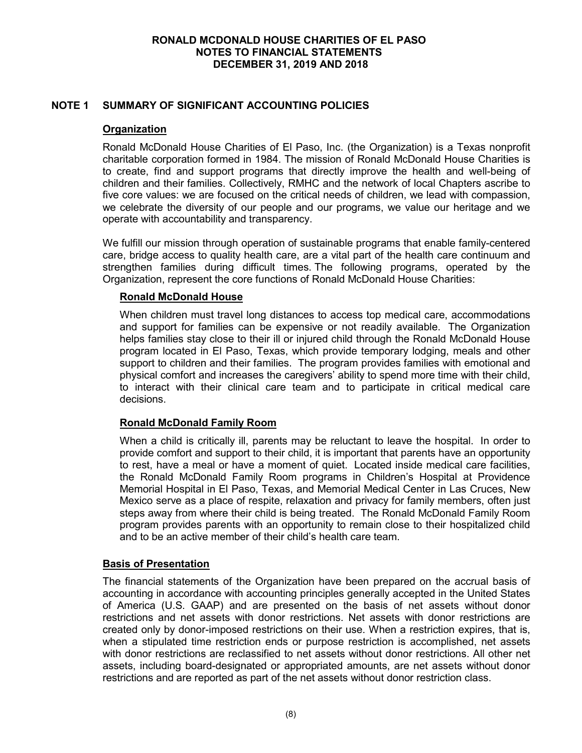# **NOTE 1 SUMMARY OF SIGNIFICANT ACCOUNTING POLICIES**

# **Organization**

Ronald McDonald House Charities of El Paso, Inc. (the Organization) is a Texas nonprofit charitable corporation formed in 1984. The mission of Ronald McDonald House Charities is to create, find and support programs that directly improve the health and well-being of children and their families. Collectively, RMHC and the network of local Chapters ascribe to five core values: we are focused on the critical needs of children, we lead with compassion, we celebrate the diversity of our people and our programs, we value our heritage and we operate with accountability and transparency.

We fulfill our mission through operation of sustainable programs that enable family-centered care, bridge access to quality health care, are a vital part of the health care continuum and strengthen families during difficult times. The following programs, operated by the Organization, represent the core functions of Ronald McDonald House Charities:

### **Ronald McDonald House**

When children must travel long distances to access top medical care, accommodations and support for families can be expensive or not readily available. The Organization helps families stay close to their ill or injured child through the Ronald McDonald House program located in El Paso, Texas, which provide temporary lodging, meals and other support to children and their families. The program provides families with emotional and physical comfort and increases the caregivers' ability to spend more time with their child, to interact with their clinical care team and to participate in critical medical care decisions.

# **Ronald McDonald Family Room**

When a child is critically ill, parents may be reluctant to leave the hospital. In order to provide comfort and support to their child, it is important that parents have an opportunity to rest, have a meal or have a moment of quiet. Located inside medical care facilities, the Ronald McDonald Family Room programs in Children's Hospital at Providence Memorial Hospital in El Paso, Texas, and Memorial Medical Center in Las Cruces, New Mexico serve as a place of respite, relaxation and privacy for family members, often just steps away from where their child is being treated. The Ronald McDonald Family Room program provides parents with an opportunity to remain close to their hospitalized child and to be an active member of their child's health care team.

# **Basis of Presentation**

The financial statements of the Organization have been prepared on the accrual basis of accounting in accordance with accounting principles generally accepted in the United States of America (U.S. GAAP) and are presented on the basis of net assets without donor restrictions and net assets with donor restrictions. Net assets with donor restrictions are created only by donor-imposed restrictions on their use. When a restriction expires, that is, when a stipulated time restriction ends or purpose restriction is accomplished, net assets with donor restrictions are reclassified to net assets without donor restrictions. All other net assets, including board-designated or appropriated amounts, are net assets without donor restrictions and are reported as part of the net assets without donor restriction class.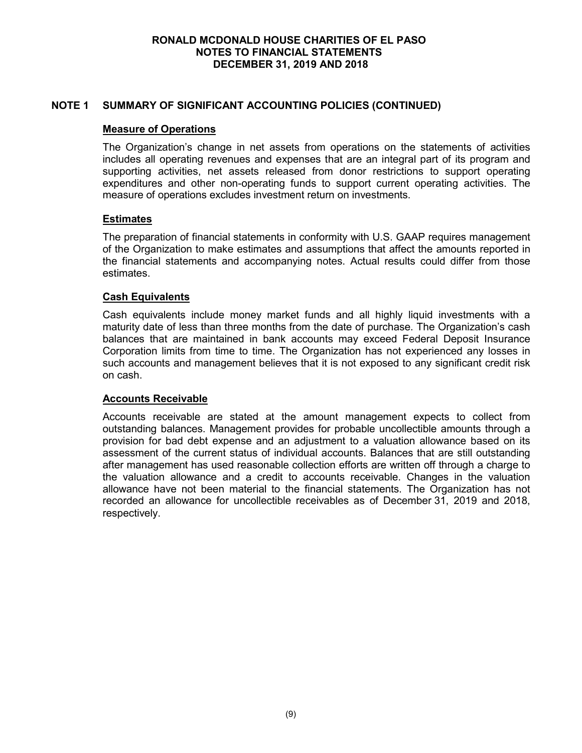# **NOTE 1 SUMMARY OF SIGNIFICANT ACCOUNTING POLICIES (CONTINUED)**

# **Measure of Operations**

The Organization's change in net assets from operations on the statements of activities includes all operating revenues and expenses that are an integral part of its program and supporting activities, net assets released from donor restrictions to support operating expenditures and other non-operating funds to support current operating activities. The measure of operations excludes investment return on investments.

# **Estimates**

The preparation of financial statements in conformity with U.S. GAAP requires management of the Organization to make estimates and assumptions that affect the amounts reported in the financial statements and accompanying notes. Actual results could differ from those estimates.

# **Cash Equivalents**

Cash equivalents include money market funds and all highly liquid investments with a maturity date of less than three months from the date of purchase. The Organization's cash balances that are maintained in bank accounts may exceed Federal Deposit Insurance Corporation limits from time to time. The Organization has not experienced any losses in such accounts and management believes that it is not exposed to any significant credit risk on cash.

# **Accounts Receivable**

Accounts receivable are stated at the amount management expects to collect from outstanding balances. Management provides for probable uncollectible amounts through a provision for bad debt expense and an adjustment to a valuation allowance based on its assessment of the current status of individual accounts. Balances that are still outstanding after management has used reasonable collection efforts are written off through a charge to the valuation allowance and a credit to accounts receivable. Changes in the valuation allowance have not been material to the financial statements. The Organization has not recorded an allowance for uncollectible receivables as of December 31, 2019 and 2018, respectively.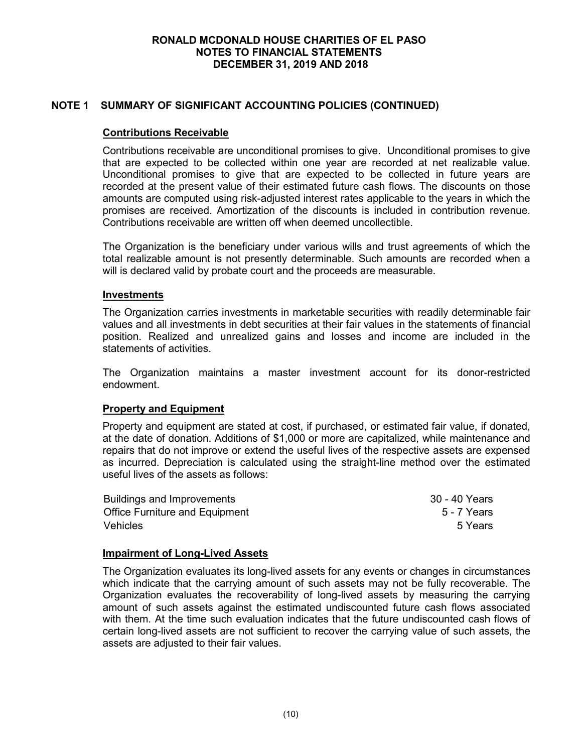# **NOTE 1 SUMMARY OF SIGNIFICANT ACCOUNTING POLICIES (CONTINUED)**

# **Contributions Receivable**

Contributions receivable are unconditional promises to give. Unconditional promises to give that are expected to be collected within one year are recorded at net realizable value. Unconditional promises to give that are expected to be collected in future years are recorded at the present value of their estimated future cash flows. The discounts on those amounts are computed using risk-adjusted interest rates applicable to the years in which the promises are received. Amortization of the discounts is included in contribution revenue. Contributions receivable are written off when deemed uncollectible.

The Organization is the beneficiary under various wills and trust agreements of which the total realizable amount is not presently determinable. Such amounts are recorded when a will is declared valid by probate court and the proceeds are measurable.

#### **Investments**

The Organization carries investments in marketable securities with readily determinable fair values and all investments in debt securities at their fair values in the statements of financial position. Realized and unrealized gains and losses and income are included in the statements of activities.

The Organization maintains a master investment account for its donor-restricted endowment.

# **Property and Equipment**

Property and equipment are stated at cost, if purchased, or estimated fair value, if donated, at the date of donation. Additions of \$1,000 or more are capitalized, while maintenance and repairs that do not improve or extend the useful lives of the respective assets are expensed as incurred. Depreciation is calculated using the straight-line method over the estimated useful lives of the assets as follows:

| Buildings and Improvements            | 30 - 40 Years |
|---------------------------------------|---------------|
| <b>Office Furniture and Equipment</b> | 5 - 7 Years   |
| <b>Vehicles</b>                       | 5 Years       |

# **Impairment of Long-Lived Assets**

The Organization evaluates its long-lived assets for any events or changes in circumstances which indicate that the carrying amount of such assets may not be fully recoverable. The Organization evaluates the recoverability of long-lived assets by measuring the carrying amount of such assets against the estimated undiscounted future cash flows associated with them. At the time such evaluation indicates that the future undiscounted cash flows of certain long-lived assets are not sufficient to recover the carrying value of such assets, the assets are adjusted to their fair values.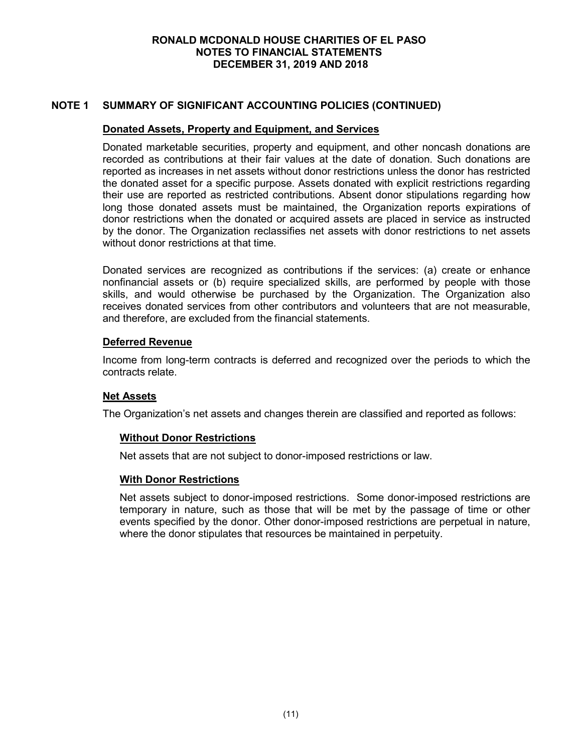# **NOTE 1 SUMMARY OF SIGNIFICANT ACCOUNTING POLICIES (CONTINUED)**

# **Donated Assets, Property and Equipment, and Services**

Donated marketable securities, property and equipment, and other noncash donations are recorded as contributions at their fair values at the date of donation. Such donations are reported as increases in net assets without donor restrictions unless the donor has restricted the donated asset for a specific purpose. Assets donated with explicit restrictions regarding their use are reported as restricted contributions. Absent donor stipulations regarding how long those donated assets must be maintained, the Organization reports expirations of donor restrictions when the donated or acquired assets are placed in service as instructed by the donor. The Organization reclassifies net assets with donor restrictions to net assets without donor restrictions at that time.

Donated services are recognized as contributions if the services: (a) create or enhance nonfinancial assets or (b) require specialized skills, are performed by people with those skills, and would otherwise be purchased by the Organization. The Organization also receives donated services from other contributors and volunteers that are not measurable, and therefore, are excluded from the financial statements.

### **Deferred Revenue**

Income from long-term contracts is deferred and recognized over the periods to which the contracts relate.

#### **Net Assets**

The Organization's net assets and changes therein are classified and reported as follows:

#### **Without Donor Restrictions**

Net assets that are not subject to donor-imposed restrictions or law.

#### **With Donor Restrictions**

Net assets subject to donor-imposed restrictions. Some donor-imposed restrictions are temporary in nature, such as those that will be met by the passage of time or other events specified by the donor. Other donor-imposed restrictions are perpetual in nature, where the donor stipulates that resources be maintained in perpetuity.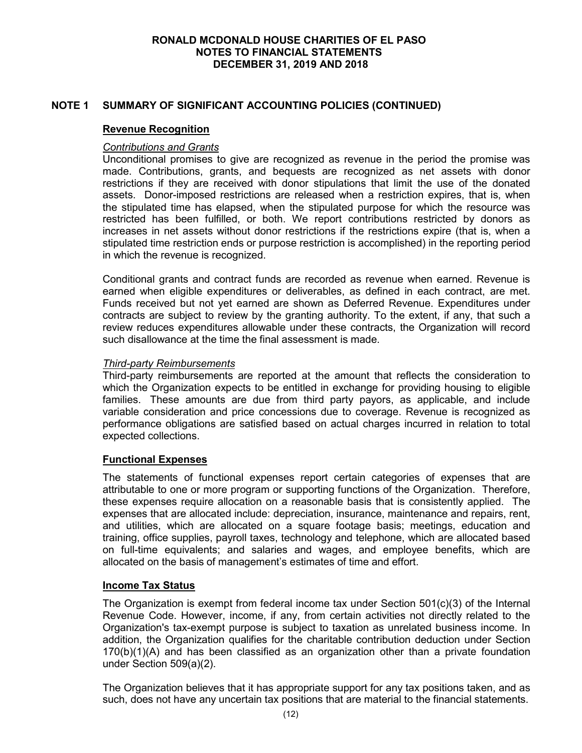# **NOTE 1 SUMMARY OF SIGNIFICANT ACCOUNTING POLICIES (CONTINUED)**

### **Revenue Recognition**

### *Contributions and Grants*

Unconditional promises to give are recognized as revenue in the period the promise was made. Contributions, grants, and bequests are recognized as net assets with donor restrictions if they are received with donor stipulations that limit the use of the donated assets. Donor-imposed restrictions are released when a restriction expires, that is, when the stipulated time has elapsed, when the stipulated purpose for which the resource was restricted has been fulfilled, or both. We report contributions restricted by donors as increases in net assets without donor restrictions if the restrictions expire (that is, when a stipulated time restriction ends or purpose restriction is accomplished) in the reporting period in which the revenue is recognized.

Conditional grants and contract funds are recorded as revenue when earned. Revenue is earned when eligible expenditures or deliverables, as defined in each contract, are met. Funds received but not yet earned are shown as Deferred Revenue. Expenditures under contracts are subject to review by the granting authority. To the extent, if any, that such a review reduces expenditures allowable under these contracts, the Organization will record such disallowance at the time the final assessment is made.

### *Third-party Reimbursements*

Third-party reimbursements are reported at the amount that reflects the consideration to which the Organization expects to be entitled in exchange for providing housing to eligible families. These amounts are due from third party payors, as applicable, and include variable consideration and price concessions due to coverage. Revenue is recognized as performance obligations are satisfied based on actual charges incurred in relation to total expected collections.

# **Functional Expenses**

The statements of functional expenses report certain categories of expenses that are attributable to one or more program or supporting functions of the Organization. Therefore, these expenses require allocation on a reasonable basis that is consistently applied. The expenses that are allocated include: depreciation, insurance, maintenance and repairs, rent, and utilities, which are allocated on a square footage basis; meetings, education and training, office supplies, payroll taxes, technology and telephone, which are allocated based on full-time equivalents; and salaries and wages, and employee benefits, which are allocated on the basis of management's estimates of time and effort.

#### **Income Tax Status**

The Organization is exempt from federal income tax under Section  $501(c)(3)$  of the Internal Revenue Code. However, income, if any, from certain activities not directly related to the Organization's tax-exempt purpose is subject to taxation as unrelated business income. In addition, the Organization qualifies for the charitable contribution deduction under Section  $170(b)(1)(A)$  and has been classified as an organization other than a private foundation under Section 509(a)(2).

The Organization believes that it has appropriate support for any tax positions taken, and as such, does not have any uncertain tax positions that are material to the financial statements.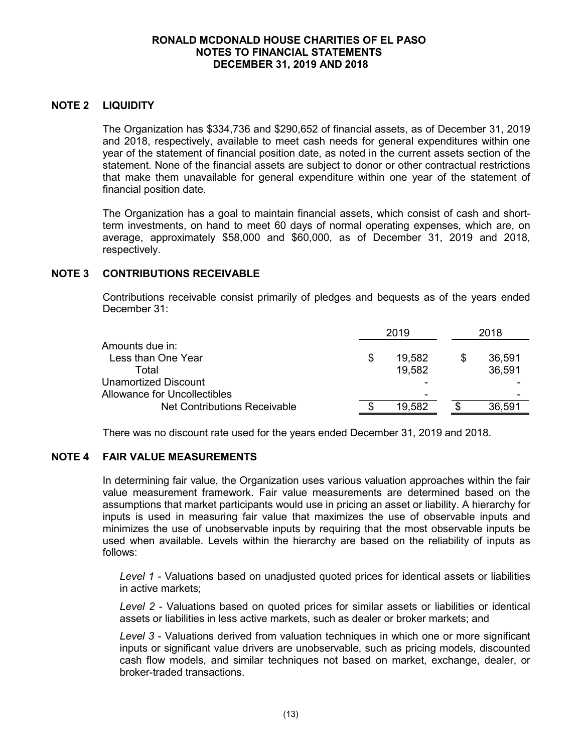# **NOTE 2 LIQUIDITY**

The Organization has \$334,736 and \$290,652 of financial assets, as of December 31, 2019 and 2018, respectively, available to meet cash needs for general expenditures within one year of the statement of financial position date, as noted in the current assets section of the statement. None of the financial assets are subject to donor or other contractual restrictions that make them unavailable for general expenditure within one year of the statement of financial position date.

The Organization has a goal to maintain financial assets, which consist of cash and shortterm investments, on hand to meet 60 days of normal operating expenses, which are, on average, approximately \$58,000 and \$60,000, as of December 31, 2019 and 2018, respectively.

# **NOTE 3 CONTRIBUTIONS RECEIVABLE**

Contributions receivable consist primarily of pledges and bequests as of the years ended December 31:

|                                     | 2019   | 2018   |
|-------------------------------------|--------|--------|
| Amounts due in:                     |        |        |
| Less than One Year                  | 19,582 | 36,591 |
| Total                               | 19.582 | 36,591 |
| Unamortized Discount                |        |        |
| <b>Allowance for Uncollectibles</b> | -      |        |
| <b>Net Contributions Receivable</b> | 19.582 | 36,591 |

There was no discount rate used for the years ended December 31, 2019 and 2018.

# **NOTE 4 FAIR VALUE MEASUREMENTS**

In determining fair value, the Organization uses various valuation approaches within the fair value measurement framework. Fair value measurements are determined based on the assumptions that market participants would use in pricing an asset or liability. A hierarchy for inputs is used in measuring fair value that maximizes the use of observable inputs and minimizes the use of unobservable inputs by requiring that the most observable inputs be used when available. Levels within the hierarchy are based on the reliability of inputs as follows:

*Level 1* - Valuations based on unadjusted quoted prices for identical assets or liabilities in active markets;

*Level 2* - Valuations based on quoted prices for similar assets or liabilities or identical assets or liabilities in less active markets, such as dealer or broker markets; and

*Level 3* - Valuations derived from valuation techniques in which one or more significant inputs or significant value drivers are unobservable, such as pricing models, discounted cash flow models, and similar techniques not based on market, exchange, dealer, or broker-traded transactions.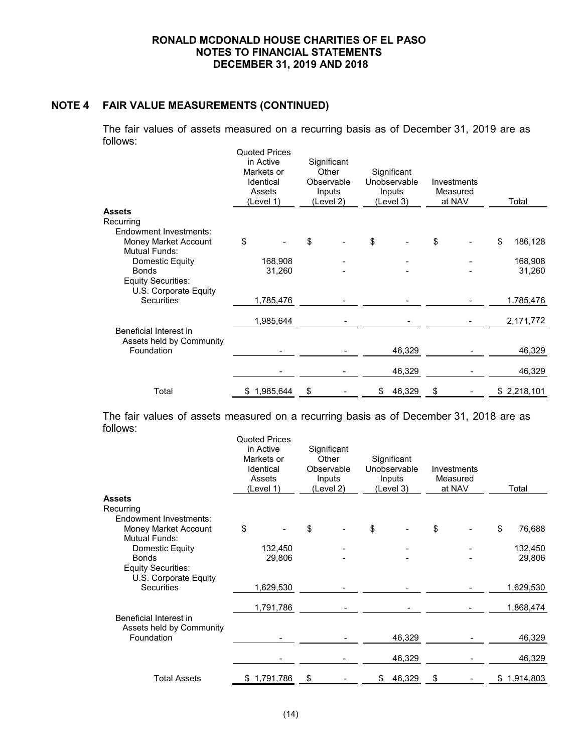# **NOTE 4 FAIR VALUE MEASUREMENTS (CONTINUED)**

The fair values of assets measured on a recurring basis as of December 31, 2019 are as follows:

|                           | <b>Quoted Prices</b><br>in Active<br>Markets or<br>Identical<br>Assets<br>(Level 1) | Significant<br>Other<br>Observable<br>Inputs<br>(Level 2) |  | Significant<br>Unobservable<br>Inputs<br>(Level 3) |        | Investments<br>Measured<br>at NAV |  | Total         |
|---------------------------|-------------------------------------------------------------------------------------|-----------------------------------------------------------|--|----------------------------------------------------|--------|-----------------------------------|--|---------------|
| Assets                    |                                                                                     |                                                           |  |                                                    |        |                                   |  |               |
| Recurring                 |                                                                                     |                                                           |  |                                                    |        |                                   |  |               |
| Endowment Investments:    |                                                                                     |                                                           |  |                                                    |        |                                   |  |               |
| Money Market Account      | \$                                                                                  | \$                                                        |  | \$                                                 |        | \$                                |  | \$<br>186,128 |
| <b>Mutual Funds:</b>      |                                                                                     |                                                           |  |                                                    |        |                                   |  |               |
| Domestic Equity           | 168,908                                                                             |                                                           |  |                                                    |        |                                   |  | 168,908       |
| <b>Bonds</b>              | 31,260                                                                              |                                                           |  |                                                    |        |                                   |  | 31,260        |
| <b>Equity Securities:</b> |                                                                                     |                                                           |  |                                                    |        |                                   |  |               |
| U.S. Corporate Equity     |                                                                                     |                                                           |  |                                                    |        |                                   |  |               |
| <b>Securities</b>         | 1,785,476                                                                           |                                                           |  |                                                    |        |                                   |  | 1,785,476     |
|                           |                                                                                     |                                                           |  |                                                    |        |                                   |  |               |
|                           | 1,985,644                                                                           |                                                           |  |                                                    |        |                                   |  | 2,171,772     |
| Beneficial Interest in    |                                                                                     |                                                           |  |                                                    |        |                                   |  |               |
| Assets held by Community  |                                                                                     |                                                           |  |                                                    |        |                                   |  |               |
| Foundation                |                                                                                     |                                                           |  |                                                    | 46,329 |                                   |  | 46,329        |
|                           |                                                                                     |                                                           |  |                                                    |        |                                   |  |               |
|                           |                                                                                     |                                                           |  |                                                    | 46,329 |                                   |  | 46,329        |
| Total                     | \$1,985,644                                                                         | \$                                                        |  | \$                                                 | 46,329 | \$                                |  | \$2,218,101   |
|                           |                                                                                     |                                                           |  |                                                    |        |                                   |  |               |

The fair values of assets measured on a recurring basis as of December 31, 2018 are as follows: Quoted <u>Prices</u>

|                                                    | Quoted Prices<br>in Active<br>Markets or<br>Identical<br>Assets<br>(Level 1) | Significant<br>Other<br>Observable<br>Inputs<br>(Level 2) | Significant<br>Unobservable<br>Inputs<br>(Level 3) | Investments<br>Measured<br>at NAV | Total        |
|----------------------------------------------------|------------------------------------------------------------------------------|-----------------------------------------------------------|----------------------------------------------------|-----------------------------------|--------------|
| Assets                                             |                                                                              |                                                           |                                                    |                                   |              |
| Recurring                                          |                                                                              |                                                           |                                                    |                                   |              |
| <b>Endowment Investments:</b>                      |                                                                              |                                                           |                                                    |                                   |              |
| Money Market Account                               | \$                                                                           | \$                                                        | \$                                                 | \$                                | \$<br>76,688 |
| <b>Mutual Funds:</b>                               |                                                                              |                                                           |                                                    |                                   |              |
| Domestic Equity                                    | 132,450                                                                      |                                                           |                                                    |                                   | 132,450      |
| <b>Bonds</b>                                       | 29,806                                                                       |                                                           |                                                    |                                   | 29,806       |
| <b>Equity Securities:</b><br>U.S. Corporate Equity |                                                                              |                                                           |                                                    |                                   |              |
| <b>Securities</b>                                  | 1,629,530                                                                    |                                                           |                                                    |                                   | 1,629,530    |
|                                                    |                                                                              |                                                           |                                                    |                                   |              |
|                                                    | 1,791,786                                                                    |                                                           |                                                    |                                   | 1,868,474    |
| Beneficial Interest in<br>Assets held by Community |                                                                              |                                                           |                                                    |                                   |              |
| Foundation                                         |                                                                              |                                                           | 46,329                                             |                                   | 46,329       |
|                                                    |                                                                              |                                                           |                                                    |                                   |              |
|                                                    |                                                                              |                                                           | 46,329                                             |                                   | 46,329       |
|                                                    |                                                                              |                                                           |                                                    |                                   |              |
| <b>Total Assets</b>                                | \$1,791,786                                                                  | \$                                                        | 46,329<br>\$                                       | \$                                | \$1,914,803  |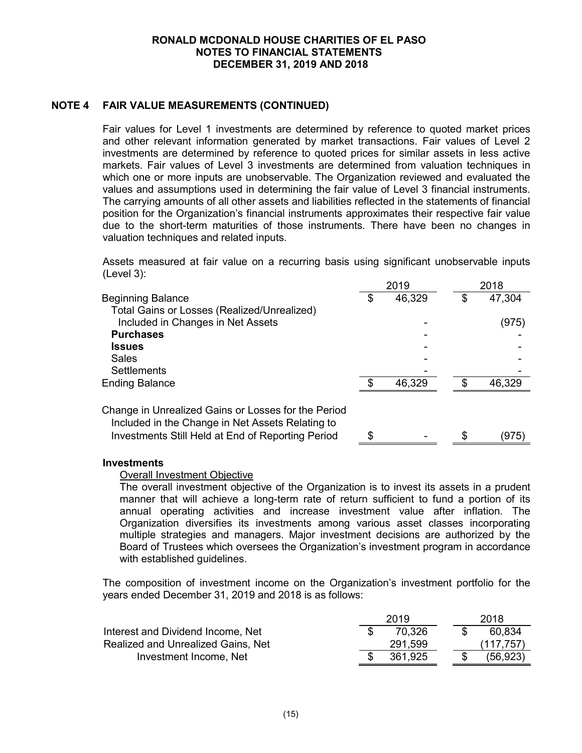# **NOTE 4 FAIR VALUE MEASUREMENTS (CONTINUED)**

Fair values for Level 1 investments are determined by reference to quoted market prices and other relevant information generated by market transactions. Fair values of Level 2 investments are determined by reference to quoted prices for similar assets in less active markets. Fair values of Level 3 investments are determined from valuation techniques in which one or more inputs are unobservable. The Organization reviewed and evaluated the values and assumptions used in determining the fair value of Level 3 financial instruments. The carrying amounts of all other assets and liabilities reflected in the statements of financial position for the Organization's financial instruments approximates their respective fair value due to the short-term maturities of those instruments. There have been no changes in valuation techniques and related inputs.

Assets measured at fair value on a recurring basis using significant unobservable inputs (Level 3):

|                                                                                                       |    | 2019   |   | 2018   |  |  |
|-------------------------------------------------------------------------------------------------------|----|--------|---|--------|--|--|
| <b>Beginning Balance</b>                                                                              | S  | 46,329 | S | 47,304 |  |  |
| Total Gains or Losses (Realized/Unrealized)                                                           |    |        |   |        |  |  |
| Included in Changes in Net Assets                                                                     |    |        |   | (975)  |  |  |
| <b>Purchases</b>                                                                                      |    |        |   |        |  |  |
| <b>Issues</b>                                                                                         |    |        |   |        |  |  |
| <b>Sales</b>                                                                                          |    |        |   |        |  |  |
| <b>Settlements</b>                                                                                    |    |        |   |        |  |  |
| Ending Balance                                                                                        | \$ | 46,329 |   | 46,329 |  |  |
| Change in Unrealized Gains or Losses for the Period                                                   |    |        |   |        |  |  |
| Included in the Change in Net Assets Relating to<br>Investments Still Held at End of Reporting Period | \$ |        | S | (975)  |  |  |

#### **Investments**

#### Overall Investment Objective

The overall investment objective of the Organization is to invest its assets in a prudent manner that will achieve a long-term rate of return sufficient to fund a portion of its annual operating activities and increase investment value after inflation. The Organization diversifies its investments among various asset classes incorporating multiple strategies and managers. Major investment decisions are authorized by the Board of Trustees which oversees the Organization's investment program in accordance with established guidelines.

The composition of investment income on the Organization's investment portfolio for the years ended December 31, 2019 and 2018 is as follows:

|                                    | 2019 |         |  |  | 2018       |
|------------------------------------|------|---------|--|--|------------|
| Interest and Dividend Income, Net  |      | 70.326  |  |  | 60,834     |
| Realized and Unrealized Gains, Net |      | 291,599 |  |  | (117, 757) |
| Investment Income, Net             |      | 361.925 |  |  | (56, 923)  |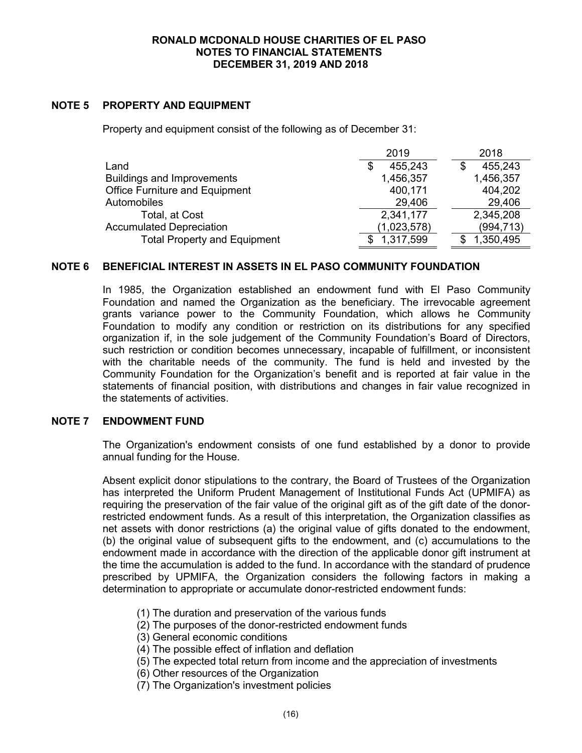# **NOTE 5 PROPERTY AND EQUIPMENT**

Property and equipment consist of the following as of December 31:

|                                       | 2019          | 2018       |
|---------------------------------------|---------------|------------|
| Land                                  | 455,243<br>\$ | 455,243    |
| <b>Buildings and Improvements</b>     | 1,456,357     | 1,456,357  |
| <b>Office Furniture and Equipment</b> | 400,171       | 404,202    |
| Automobiles                           | 29,406        | 29,406     |
| Total, at Cost                        | 2,341,177     | 2,345,208  |
| <b>Accumulated Depreciation</b>       | (1,023,578)   | (994, 713) |
| <b>Total Property and Equipment</b>   | 1,317,599     | 1,350,495  |

### **NOTE 6 BENEFICIAL INTEREST IN ASSETS IN EL PASO COMMUNITY FOUNDATION**

In 1985, the Organization established an endowment fund with El Paso Community Foundation and named the Organization as the beneficiary. The irrevocable agreement grants variance power to the Community Foundation, which allows he Community Foundation to modify any condition or restriction on its distributions for any specified organization if, in the sole judgement of the Community Foundation's Board of Directors, such restriction or condition becomes unnecessary, incapable of fulfillment, or inconsistent with the charitable needs of the community. The fund is held and invested by the Community Foundation for the Organization's benefit and is reported at fair value in the statements of financial position, with distributions and changes in fair value recognized in the statements of activities.

#### **NOTE 7 ENDOWMENT FUND**

The Organization's endowment consists of one fund established by a donor to provide annual funding for the House.

Absent explicit donor stipulations to the contrary, the Board of Trustees of the Organization has interpreted the Uniform Prudent Management of Institutional Funds Act (UPMIFA) as requiring the preservation of the fair value of the original gift as of the gift date of the donorrestricted endowment funds. As a result of this interpretation, the Organization classifies as net assets with donor restrictions (a) the original value of gifts donated to the endowment, (b) the original value of subsequent gifts to the endowment, and (c) accumulations to the endowment made in accordance with the direction of the applicable donor gift instrument at the time the accumulation is added to the fund. In accordance with the standard of prudence prescribed by UPMIFA, the Organization considers the following factors in making a determination to appropriate or accumulate donor-restricted endowment funds:

- (1) The duration and preservation of the various funds
- (2) The purposes of the donor-restricted endowment funds
- (3) General economic conditions
- (4) The possible effect of inflation and deflation
- (5) The expected total return from income and the appreciation of investments
- (6) Other resources of the Organization
- (7) The Organization's investment policies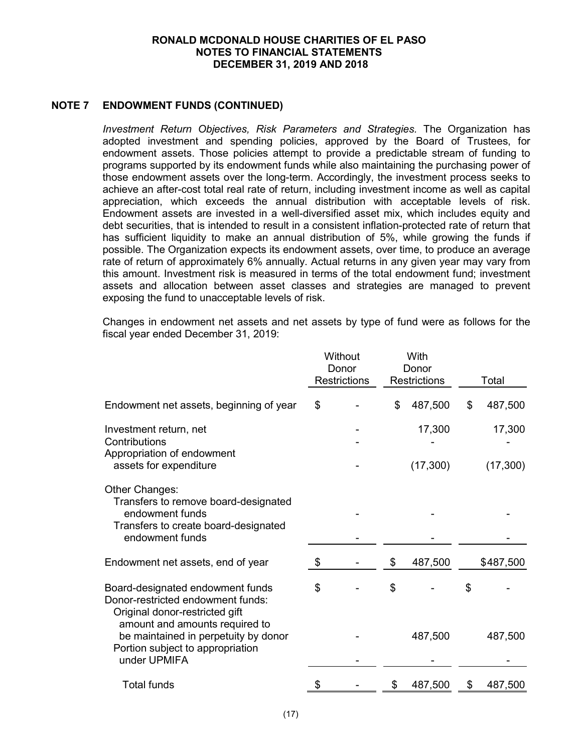# **NOTE 7 ENDOWMENT FUNDS (CONTINUED)**

*Investment Return Objectives, Risk Parameters and Strategies.* The Organization has adopted investment and spending policies, approved by the Board of Trustees, for endowment assets. Those policies attempt to provide a predictable stream of funding to programs supported by its endowment funds while also maintaining the purchasing power of those endowment assets over the long-term. Accordingly, the investment process seeks to achieve an after-cost total real rate of return, including investment income as well as capital appreciation, which exceeds the annual distribution with acceptable levels of risk. Endowment assets are invested in a well-diversified asset mix, which includes equity and debt securities, that is intended to result in a consistent inflation-protected rate of return that has sufficient liquidity to make an annual distribution of 5%, while growing the funds if possible. The Organization expects its endowment assets, over time, to produce an average rate of return of approximately 6% annually. Actual returns in any given year may vary from this amount. Investment risk is measured in terms of the total endowment fund; investment assets and allocation between asset classes and strategies are managed to prevent exposing the fund to unacceptable levels of risk.

Changes in endowment net assets and net assets by type of fund were as follows for the fiscal year ended December 31, 2019:

|                                                                                                                                           |    | Without<br>Donor<br><b>Restrictions</b> | With<br>Donor<br>Restrictions | Total         |
|-------------------------------------------------------------------------------------------------------------------------------------------|----|-----------------------------------------|-------------------------------|---------------|
| Endowment net assets, beginning of year                                                                                                   | \$ |                                         | \$<br>487,500                 | \$<br>487,500 |
| Investment return, net<br>Contributions<br>Appropriation of endowment                                                                     |    |                                         | 17,300                        | 17,300        |
| assets for expenditure                                                                                                                    |    |                                         | (17, 300)                     | (17,300)      |
| Other Changes:<br>Transfers to remove board-designated<br>endowment funds                                                                 |    |                                         |                               |               |
| Transfers to create board-designated<br>endowment funds                                                                                   |    |                                         |                               |               |
| Endowment net assets, end of year                                                                                                         | \$ |                                         | \$<br>487,500                 | \$487,500     |
| Board-designated endowment funds<br>Donor-restricted endowment funds:<br>Original donor-restricted gift<br>amount and amounts required to | \$ |                                         | \$                            | \$            |
| be maintained in perpetuity by donor<br>Portion subject to appropriation<br>under UPMIFA                                                  |    |                                         | 487,500                       | 487,500       |
| <b>Total funds</b>                                                                                                                        | S  |                                         | \$<br>487,500                 | \$<br>487,500 |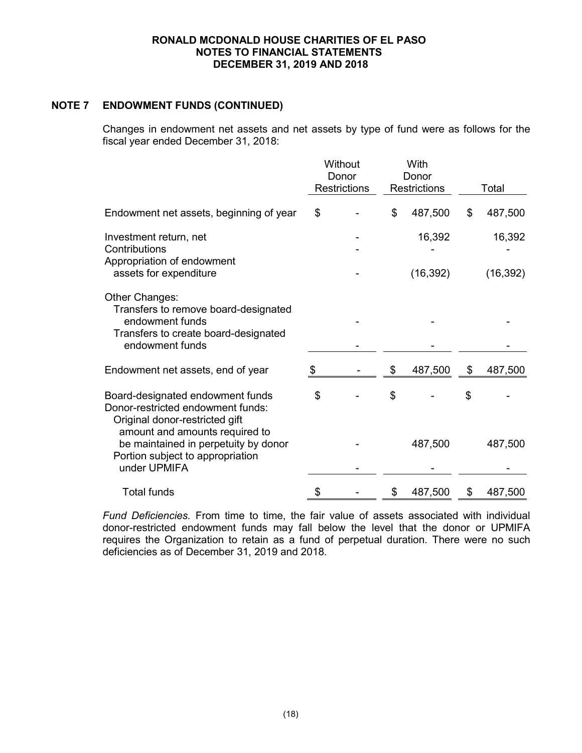# **NOTE 7 ENDOWMENT FUNDS (CONTINUED)**

Changes in endowment net assets and net assets by type of fund were as follows for the fiscal year ended December 31, 2018:

|                                                                                                            |    | Without<br>Donor    | With<br>Donor       |               |
|------------------------------------------------------------------------------------------------------------|----|---------------------|---------------------|---------------|
|                                                                                                            |    | <b>Restrictions</b> | <b>Restrictions</b> | Total         |
| Endowment net assets, beginning of year                                                                    | \$ |                     | \$<br>487,500       | \$<br>487,500 |
| Investment return, net<br>Contributions<br>Appropriation of endowment                                      |    |                     | 16,392              | 16,392        |
| assets for expenditure                                                                                     |    |                     | (16, 392)           | (16, 392)     |
| Other Changes:<br>Transfers to remove board-designated                                                     |    |                     |                     |               |
| endowment funds<br>Transfers to create board-designated<br>endowment funds                                 |    |                     |                     |               |
| Endowment net assets, end of year                                                                          | \$ |                     | \$<br>487,500       | \$<br>487,500 |
| Board-designated endowment funds<br>Donor-restricted endowment funds:<br>Original donor-restricted gift    | \$ |                     | \$                  | \$            |
| amount and amounts required to<br>be maintained in perpetuity by donor<br>Portion subject to appropriation |    |                     | 487,500             | 487,500       |
| under UPMIFA                                                                                               |    |                     |                     |               |
| <b>Total funds</b>                                                                                         | S  |                     | \$<br>487,500       | \$<br>487,500 |

*Fund Deficiencies.* From time to time, the fair value of assets associated with individual donor-restricted endowment funds may fall below the level that the donor or UPMIFA requires the Organization to retain as a fund of perpetual duration. There were no such deficiencies as of December 31, 2019 and 2018.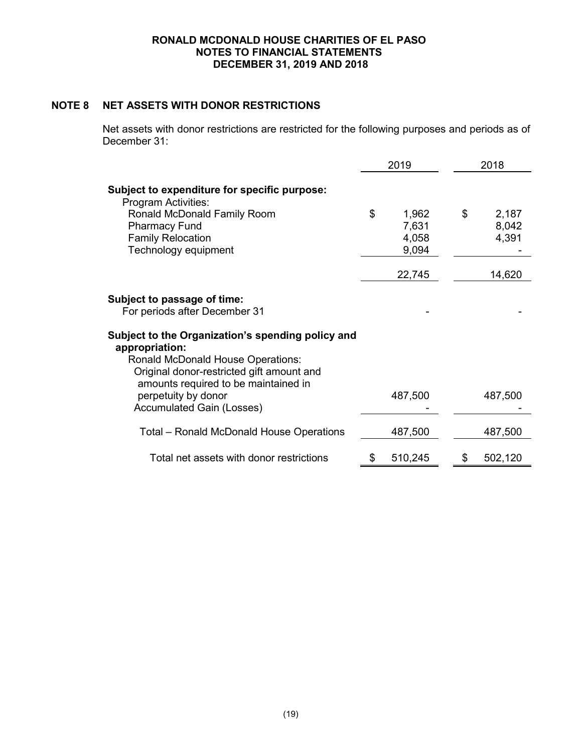# **NOTE 8 NET ASSETS WITH DONOR RESTRICTIONS**

Net assets with donor restrictions are restricted for the following purposes and periods as of December 31:

|                                                                                                                                                                                               | 2019                                   | 2018                          |  |  |
|-----------------------------------------------------------------------------------------------------------------------------------------------------------------------------------------------|----------------------------------------|-------------------------------|--|--|
| Subject to expenditure for specific purpose:<br><b>Program Activities:</b>                                                                                                                    |                                        |                               |  |  |
| Ronald McDonald Family Room<br><b>Pharmacy Fund</b><br><b>Family Relocation</b><br>Technology equipment                                                                                       | \$<br>1,962<br>7,631<br>4,058<br>9,094 | \$<br>2,187<br>8,042<br>4,391 |  |  |
|                                                                                                                                                                                               | 22,745                                 | 14,620                        |  |  |
| <b>Subject to passage of time:</b><br>For periods after December 31                                                                                                                           |                                        |                               |  |  |
| Subject to the Organization's spending policy and<br>appropriation:<br>Ronald McDonald House Operations:<br>Original donor-restricted gift amount and<br>amounts required to be maintained in |                                        |                               |  |  |
| perpetuity by donor<br><b>Accumulated Gain (Losses)</b>                                                                                                                                       | 487,500                                | 487,500                       |  |  |
| Total – Ronald McDonald House Operations                                                                                                                                                      | 487,500                                | 487,500                       |  |  |
| Total net assets with donor restrictions                                                                                                                                                      | 510,245<br>\$                          | \$<br>502,120                 |  |  |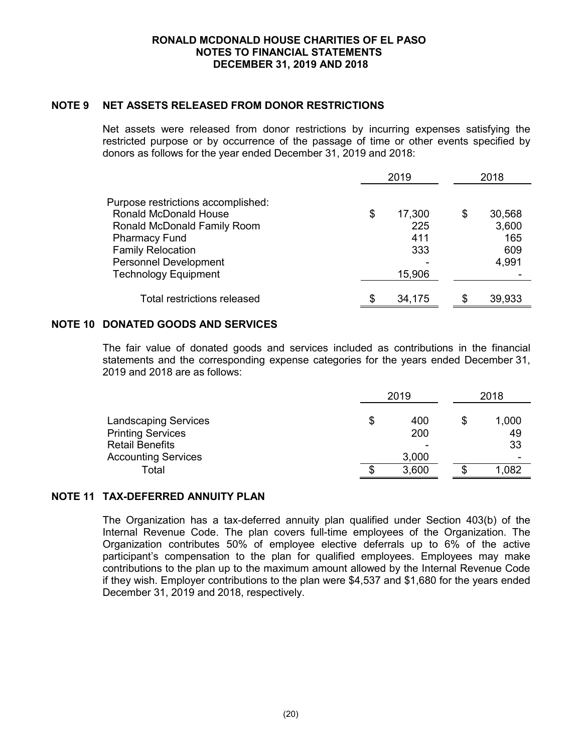# **NOTE 9 NET ASSETS RELEASED FROM DONOR RESTRICTIONS**

Net assets were released from donor restrictions by incurring expenses satisfying the restricted purpose or by occurrence of the passage of time or other events specified by donors as follows for the year ended December 31, 2019 and 2018:

|                                                                                                                                                                                                               |     | 2019                                  |     | 2018                                   |  |  |
|---------------------------------------------------------------------------------------------------------------------------------------------------------------------------------------------------------------|-----|---------------------------------------|-----|----------------------------------------|--|--|
| Purpose restrictions accomplished:<br>Ronald McDonald House<br>Ronald McDonald Family Room<br><b>Pharmacy Fund</b><br><b>Family Relocation</b><br><b>Personnel Development</b><br><b>Technology Equipment</b> | \$  | 17,300<br>225<br>411<br>333<br>15,906 | S   | 30,568<br>3,600<br>165<br>609<br>4,991 |  |  |
| <b>Total restrictions released</b>                                                                                                                                                                            | \$. | 34,175                                | \$. | 39,933                                 |  |  |

# **NOTE 10 DONATED GOODS AND SERVICES**

The fair value of donated goods and services included as contributions in the financial statements and the corresponding expense categories for the years ended December 31, 2019 and 2018 are as follows:

|                             | 2019 |       |  | 2018  |  |  |
|-----------------------------|------|-------|--|-------|--|--|
| <b>Landscaping Services</b> | S    | 400   |  | 1,000 |  |  |
| <b>Printing Services</b>    |      | 200   |  | 49    |  |  |
| <b>Retail Benefits</b>      |      | ۰     |  | 33    |  |  |
| <b>Accounting Services</b>  |      | 3,000 |  | -     |  |  |
| Total                       | S    | 3,600 |  | 1,082 |  |  |

# **NOTE 11 TAX-DEFERRED ANNUITY PLAN**

The Organization has a tax-deferred annuity plan qualified under Section 403(b) of the Internal Revenue Code. The plan covers full-time employees of the Organization. The Organization contributes 50% of employee elective deferrals up to 6% of the active participant's compensation to the plan for qualified employees. Employees may make contributions to the plan up to the maximum amount allowed by the Internal Revenue Code if they wish. Employer contributions to the plan were \$4,537 and \$1,680 for the years ended December 31, 2019 and 2018, respectively.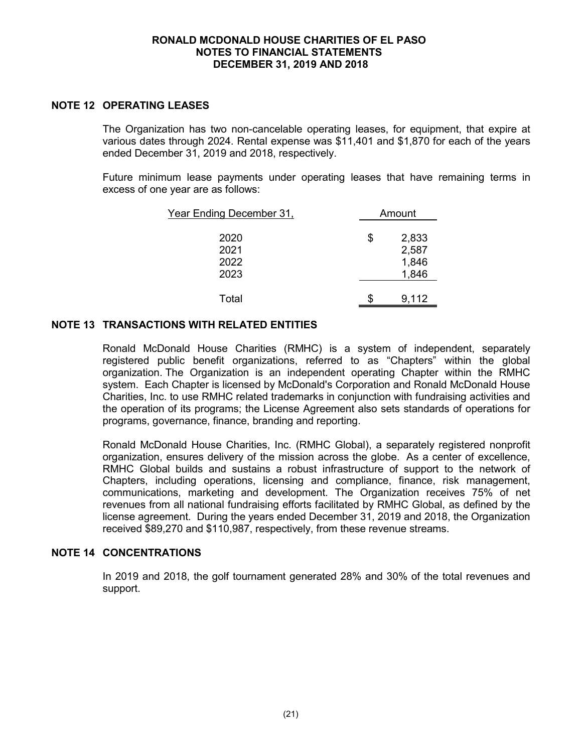### **NOTE 12 OPERATING LEASES**

The Organization has two non-cancelable operating leases, for equipment, that expire at various dates through 2024. Rental expense was \$11,401 and \$1,870 for each of the years ended December 31, 2019 and 2018, respectively.

Future minimum lease payments under operating leases that have remaining terms in excess of one year are as follows:

| Year Ending December 31, | Amount      |
|--------------------------|-------------|
| 2020                     | \$<br>2,833 |
| 2021                     | 2,587       |
| 2022                     | 1,846       |
| 2023                     | 1,846       |
| Total                    | 9,112       |

# **NOTE 13 TRANSACTIONS WITH RELATED ENTITIES**

Ronald McDonald House Charities (RMHC) is a system of independent, separately registered public benefit organizations, referred to as "Chapters" within the global organization. The Organization is an independent operating Chapter within the RMHC system. Each Chapter is licensed by McDonald's Corporation and Ronald McDonald House Charities, Inc. to use RMHC related trademarks in conjunction with fundraising activities and the operation of its programs; the License Agreement also sets standards of operations for programs, governance, finance, branding and reporting.

Ronald McDonald House Charities, Inc. (RMHC Global), a separately registered nonprofit organization, ensures delivery of the mission across the globe. As a center of excellence, RMHC Global builds and sustains a robust infrastructure of support to the network of Chapters, including operations, licensing and compliance, finance, risk management, communications, marketing and development. The Organization receives 75% of net revenues from all national fundraising efforts facilitated by RMHC Global, as defined by the license agreement. During the years ended December 31, 2019 and 2018, the Organization received \$89,270 and \$110,987, respectively, from these revenue streams.

#### **NOTE 14 CONCENTRATIONS**

In 2019 and 2018, the golf tournament generated 28% and 30% of the total revenues and support.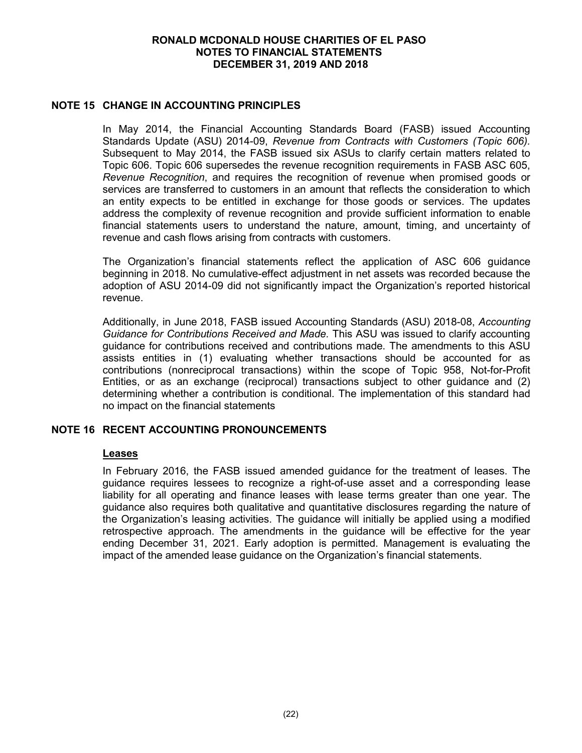# **NOTE 15 CHANGE IN ACCOUNTING PRINCIPLES**

In May 2014, the Financial Accounting Standards Board (FASB) issued Accounting Standards Update (ASU) 2014-09, *Revenue from Contracts with Customers (Topic 606).* Subsequent to May 2014, the FASB issued six ASUs to clarify certain matters related to Topic 606. Topic 606 supersedes the revenue recognition requirements in FASB ASC 605, *Revenue Recognition*, and requires the recognition of revenue when promised goods or services are transferred to customers in an amount that reflects the consideration to which an entity expects to be entitled in exchange for those goods or services. The updates address the complexity of revenue recognition and provide sufficient information to enable financial statements users to understand the nature, amount, timing, and uncertainty of revenue and cash flows arising from contracts with customers.

The Organization's financial statements reflect the application of ASC 606 guidance beginning in 2018. No cumulative-effect adjustment in net assets was recorded because the adoption of ASU 2014-09 did not significantly impact the Organization's reported historical revenue.

Additionally, in June 2018, FASB issued Accounting Standards (ASU) 2018-08, *Accounting Guidance for Contributions Received and Made.* This ASU was issued to clarify accounting guidance for contributions received and contributions made. The amendments to this ASU assists entities in (1) evaluating whether transactions should be accounted for as contributions (nonreciprocal transactions) within the scope of Topic 958, Not-for-Profit Entities, or as an exchange (reciprocal) transactions subject to other guidance and (2) determining whether a contribution is conditional. The implementation of this standard had no impact on the financial statements

#### **NOTE 16 RECENT ACCOUNTING PRONOUNCEMENTS**

#### **Leases**

In February 2016, the FASB issued amended guidance for the treatment of leases. The guidance requires lessees to recognize a right-of-use asset and a corresponding lease liability for all operating and finance leases with lease terms greater than one year. The guidance also requires both qualitative and quantitative disclosures regarding the nature of the Organization's leasing activities. The guidance will initially be applied using a modified retrospective approach. The amendments in the guidance will be effective for the year ending December 31, 2021. Early adoption is permitted. Management is evaluating the impact of the amended lease guidance on the Organization's financial statements.